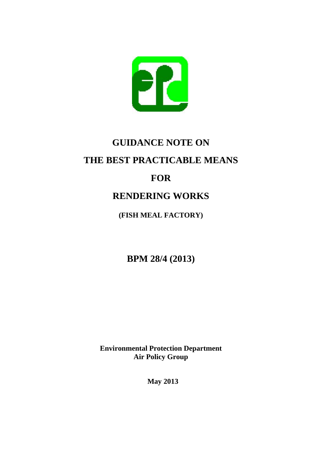

# **GUIDANCE NOTE ON THE BEST PRACTICABLE MEANS**

# **FOR**

# **RENDERING WORKS**

**(FISH MEAL FACTORY)** 

**BPM 28/4 (2013)**

**Environmental Protection Department Air Policy Group** 

**May 2013**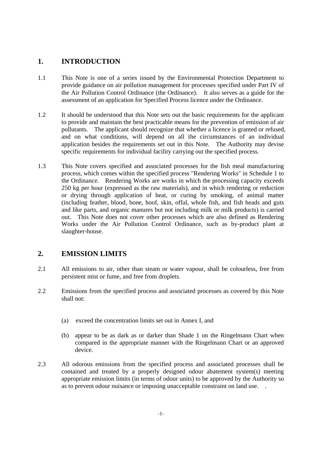# **1. INTRODUCTION**

- 1.1 This Note is one of a series issued by the Environmental Protection Department to provide guidance on air pollution management for processes specified under Part IV of the Air Pollution Control Ordinance (the Ordinance). It also serves as a guide for the assessment of an application for Specified Process licence under the Ordinance.
- 1.2 It should be understood that this Note sets out the basic requirements for the applicant to provide and maintain the best practicable means for the prevention of emission of air pollutants. The applicant should recognize that whether a licence is granted or refused, and on what conditions, will depend on all the circumstances of an individual application besides the requirements set out in this Note. The Authority may devise specific requirements for individual facility carrying out the specified process.
- 1.3 This Note covers specified and associated processes for the fish meal manufacturing process, which comes within the specified process "Rendering Works" in Schedule 1 to the Ordinance. Rendering Works are works in which the processing capacity exceeds 250 kg per hour (expressed as the raw materials), and in which rendering or reduction or drying through application of heat, or curing by smoking, of animal matter (including feather, blood, bone, hoof, skin, offal, whole fish, and fish heads and guts and like parts, and organic manures but not including milk or milk products) is carried out. This Note does not cover other processes which are also defined as Rendering Works under the Air Pollution Control Ordinance, such as by-product plant at slaughter-house.

# **2. EMISSION LIMITS**

- 2.1 All emissions to air, other than steam or water vapour, shall be colourless, free from persistent mist or fume, and free from droplets.
- 2.2 Emissions from the specified process and associated processes as covered by this Note shall not:
	- (a) exceed the concentration limits set out in Annex I, and
	- (b) appear to be as dark as or darker than Shade 1 on the Ringelmann Chart when compared in the appropriate manner with the Ringelmann Chart or an approved device.
- 2.3 All odorous emissions from the specified process and associated processes shall be contained and treated by a properly designed odour abatement system(s) meeting appropriate emission limits (in terms of odour units) to be approved by the Authority so as to prevent odour nuisance or imposing unacceptable constraint on land use. .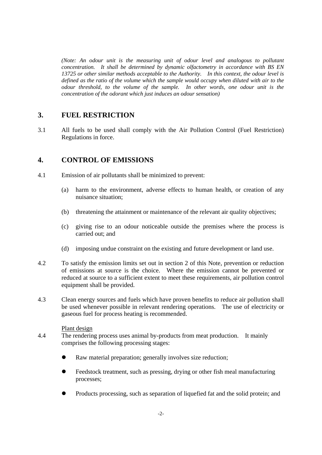*(Note: An odour unit is the measuring unit of odour level and analogous to pollutant concentration. It shall be determined by dynamic olfactometry in accordance with BS EN 13725 or other similar methods acceptable to the Authority. In this context, the odour level is defined as the ratio of the volume which the sample would occupy when diluted with air to the odour threshold, to the volume of the sample. In other words, one odour unit is the concentration of the odorant which just induces an odour sensation)*

## **3. FUEL RESTRICTION**

3.1 All fuels to be used shall comply with the Air Pollution Control (Fuel Restriction) Regulations in force.

## **4. CONTROL OF EMISSIONS**

- 4.1 Emission of air pollutants shall be minimized to prevent:
	- (a) harm to the environment, adverse effects to human health, or creation of any nuisance situation;
	- (b) threatening the attainment or maintenance of the relevant air quality objectives;
	- (c) giving rise to an odour noticeable outside the premises where the process is carried out; and
	- (d) imposing undue constraint on the existing and future development or land use.
- 4.2 To satisfy the emission limits set out in section 2 of this Note, prevention or reduction of emissions at source is the choice. Where the emission cannot be prevented or reduced at source to a sufficient extent to meet these requirements, air pollution control equipment shall be provided.
- 4.3 Clean energy sources and fuels which have proven benefits to reduce air pollution shall be used whenever possible in relevant rendering operations. The use of electricity or gaseous fuel for process heating is recommended.

#### Plant design

- 4.4 The rendering process uses animal by-products from meat production. It mainly comprises the following processing stages:
	- Raw material preparation; generally involves size reduction;
	- Feedstock treatment, such as pressing, drying or other fish meal manufacturing processes;
	- Products processing, such as separation of liquefied fat and the solid protein; and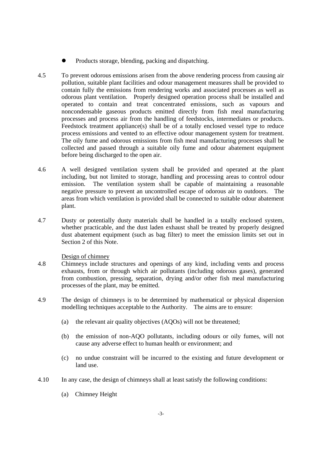- Products storage, blending, packing and dispatching.
- 4.5 To prevent odorous emissions arisen from the above rendering process from causing air pollution, suitable plant facilities and odour management measures shall be provided to contain fully the emissions from rendering works and associated processes as well as odorous plant ventilation. Properly designed operation process shall be installed and operated to contain and treat concentrated emissions, such as vapours and noncondensable gaseous products emitted directly from fish meal manufacturing processes and process air from the handling of feedstocks, intermediates or products. Feedstock treatment appliance(s) shall be of a totally enclosed vessel type to reduce process emissions and vented to an effective odour management system for treatment. The oily fume and odorous emissions from fish meal manufacturing processes shall be collected and passed through a suitable oily fume and odour abatement equipment before being discharged to the open air.
- 4.6 A well designed ventilation system shall be provided and operated at the plant including, but not limited to storage, handling and processing areas to control odour emission. The ventilation system shall be capable of maintaining a reasonable negative pressure to prevent an uncontrolled escape of odorous air to outdoors. The areas from which ventilation is provided shall be connected to suitable odour abatement plant.
- 4.7 Dusty or potentially dusty materials shall be handled in a totally enclosed system, whether practicable, and the dust laden exhaust shall be treated by properly designed dust abatement equipment (such as bag filter) to meet the emission limits set out in Section 2 of this Note.

Design of chimney

- 4.8 Chimneys include structures and openings of any kind, including vents and process exhausts, from or through which air pollutants (including odorous gases), generated from combustion, pressing, separation, drying and/or other fish meal manufacturing processes of the plant, may be emitted.
- 4.9 The design of chimneys is to be determined by mathematical or physical dispersion modelling techniques acceptable to the Authority. The aims are to ensure:
	- (a) the relevant air quality objectives (AQOs) will not be threatened;
	- (b) the emission of non-AQO pollutants, including odours or oily fumes, will not cause any adverse effect to human health or environment; and
	- (c) no undue constraint will be incurred to the existing and future development or land use.
- 4.10 In any case, the design of chimneys shall at least satisfy the following conditions:
	- (a) Chimney Height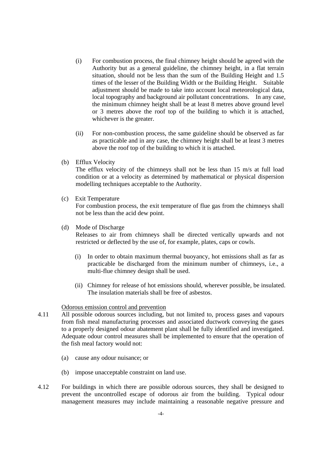- (i) For combustion process, the final chimney height should be agreed with the Authority but as a general guideline, the chimney height, in a flat terrain situation, should not be less than the sum of the Building Height and 1.5 times of the lesser of the Building Width or the Building Height. Suitable adjustment should be made to take into account local meteorological data, local topography and background air pollutant concentrations. In any case, the minimum chimney height shall be at least 8 metres above ground level or 3 metres above the roof top of the building to which it is attached, whichever is the greater.
- (ii) For non-combustion process, the same guideline should be observed as far as practicable and in any case, the chimney height shall be at least 3 metres above the roof top of the building to which it is attached.
- (b) Efflux Velocity

The efflux velocity of the chimneys shall not be less than 15 m/s at full load condition or at a velocity as determined by mathematical or physical dispersion modelling techniques acceptable to the Authority.

(c) Exit Temperature

For combustion process, the exit temperature of flue gas from the chimneys shall not be less than the acid dew point.

- (d) Mode of Discharge Releases to air from chimneys shall be directed vertically upwards and not restricted or deflected by the use of, for example, plates, caps or cowls.
	- (i) In order to obtain maximum thermal buoyancy, hot emissions shall as far as practicable be discharged from the minimum number of chimneys, i.e., a multi-flue chimney design shall be used.
	- (ii) Chimney for release of hot emissions should, wherever possible, be insulated. The insulation materials shall be free of asbestos.

#### Odorous emission control and prevention

- 4.11 All possible odorous sources including, but not limited to, process gases and vapours from fish meal manufacturing processes and associated ductwork conveying the gases to a properly designed odour abatement plant shall be fully identified and investigated. Adequate odour control measures shall be implemented to ensure that the operation of the fish meal factory would not:
	- (a) cause any odour nuisance; or
	- (b) impose unacceptable constraint on land use.
- 4.12 For buildings in which there are possible odorous sources, they shall be designed to prevent the uncontrolled escape of odorous air from the building. Typical odour management measures may include maintaining a reasonable negative pressure and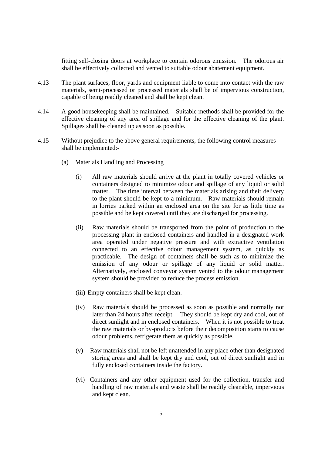fitting self-closing doors at workplace to contain odorous emission. The odorous air shall be effectively collected and vented to suitable odour abatement equipment.

- 4.13 The plant surfaces, floor, yards and equipment liable to come into contact with the raw materials, semi-processed or processed materials shall be of impervious construction, capable of being readily cleaned and shall be kept clean.
- 4.14 A good housekeeping shall be maintained. Suitable methods shall be provided for the effective cleaning of any area of spillage and for the effective cleaning of the plant. Spillages shall be cleaned up as soon as possible.
- 4.15 Without prejudice to the above general requirements, the following control measures shall be implemented:-
	- (a) Materials Handling and Processing
		- (i) All raw materials should arrive at the plant in totally covered vehicles or containers designed to minimize odour and spillage of any liquid or solid matter. The time interval between the materials arising and their delivery to the plant should be kept to a minimum. Raw materials should remain in lorries parked within an enclosed area on the site for as little time as possible and be kept covered until they are discharged for processing.
		- (ii) Raw materials should be transported from the point of production to the processing plant in enclosed containers and handled in a designated work area operated under negative pressure and with extractive ventilation connected to an effective odour management system, as quickly as practicable. The design of containers shall be such as to minimize the emission of any odour or spillage of any liquid or solid matter. Alternatively, enclosed conveyor system vented to the odour management system should be provided to reduce the process emission.
		- (iii) Empty containers shall be kept clean.
		- (iv) Raw materials should be processed as soon as possible and normally not later than 24 hours after receipt. They should be kept dry and cool, out of direct sunlight and in enclosed containers. When it is not possible to treat the raw materials or by-products before their decomposition starts to cause odour problems, refrigerate them as quickly as possible.
		- (v) Raw materials shall not be left unattended in any place other than designated storing areas and shall be kept dry and cool, out of direct sunlight and in fully enclosed containers inside the factory.
		- (vi) Containers and any other equipment used for the collection, transfer and handling of raw materials and waste shall be readily cleanable, impervious and kept clean.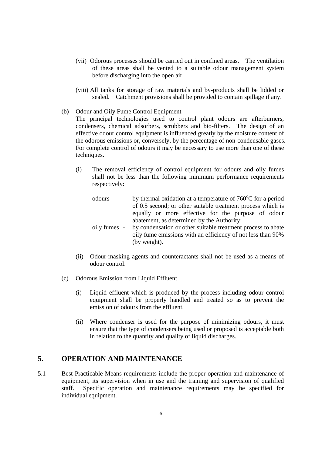- (vii) Odorous processes should be carried out in confined areas. The ventilation of these areas shall be vented to a suitable odour management system before discharging into the open air.
- (viii) All tanks for storage of raw materials and by-products shall be lidded or sealed. Catchment provisions shall be provided to contain spillage if any.
- (b**)** Odour and Oily Fume Control Equipment The principal technologies used to control plant odours are afterburners, condensers, chemical adsorbers, scrubbers and bio-filters. The design of an effective odour control equipment is influenced greatly by the moisture content of the odorous emissions or, conversely, by the percentage of non-condensable gases. For complete control of odours it may be necessary to use more than one of these techniques.
	- (i) The removal efficiency of control equipment for odours and oily fumes shall not be less than the following minimum performance requirements respectively:
		- odours by thermal oxidation at a temperature of  $760^{\circ}$ C for a period of 0.5 second; or other suitable treatment process which is equally or more effective for the purpose of odour abatement, as determined by the Authority; oily fumes - by condensation or other suitable treatment process to abate oily fume emissions with an efficiency of not less than 90% (by weight).
	- (ii) Odour-masking agents and counteractants shall not be used as a means of odour control.
- (c) Odorous Emission from Liquid Effluent
	- (i) Liquid effluent which is produced by the process including odour control equipment shall be properly handled and treated so as to prevent the emission of odours from the effluent.
	- (ii) Where condenser is used for the purpose of minimizing odours, it must ensure that the type of condensers being used or proposed is acceptable both in relation to the quantity and quality of liquid discharges.

# **5. OPERATION AND MAINTENANCE**

5.1 Best Practicable Means requirements include the proper operation and maintenance of equipment, its supervision when in use and the training and supervision of qualified staff. Specific operation and maintenance requirements may be specified for individual equipment.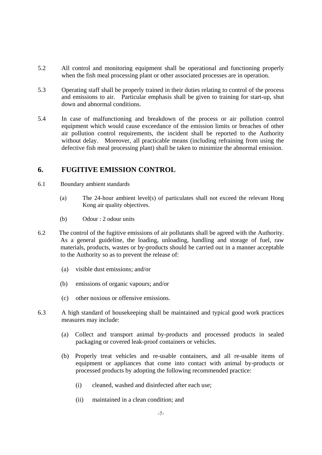- 5.2 All control and monitoring equipment shall be operational and functioning properly when the fish meal processing plant or other associated processes are in operation.
- 5.3 Operating staff shall be properly trained in their duties relating to control of the process and emissions to air. Particular emphasis shall be given to training for start-up, shut down and abnormal conditions.
- 5.4 In case of malfunctioning and breakdown of the process or air pollution control equipment which would cause exceedance of the emission limits or breaches of other air pollution control requirements, the incident shall be reported to the Authority without delay. Moreover, all practicable means (including refraining from using the defective fish meal processing plant) shall be taken to minimize the abnormal emission.

# **6. FUGITIVE EMISSION CONTROL**

- 6.1 Boundary ambient standards
	- (a) The 24-hour ambient level(s) of particulates shall not exceed the relevant Hong Kong air quality objectives.
	- (b) Odour : 2 odour units
- 6.2 The control of the fugitive emissions of air pollutants shall be agreed with the Authority. As a general guideline, the loading, unloading, handling and storage of fuel, raw materials, products, wastes or by-products should be carried out in a manner acceptable to the Authority so as to prevent the release of:
	- (a) visible dust emissions; and/or
	- (b) emissions of organic vapours; and/or
	- (c) other noxious or offensive emissions.
- 6.3 A high standard of housekeeping shall be maintained and typical good work practices measures may include:
	- (a) Collect and transport animal by-products and processed products in sealed packaging or covered leak-proof containers or vehicles.
	- (b) Properly treat vehicles and re-usable containers, and all re-usable items of equipment or appliances that come into contact with animal by-products or processed products by adopting the following recommended practice:
		- (i) cleaned, washed and disinfected after each use;
		- (ii) maintained in a clean condition; and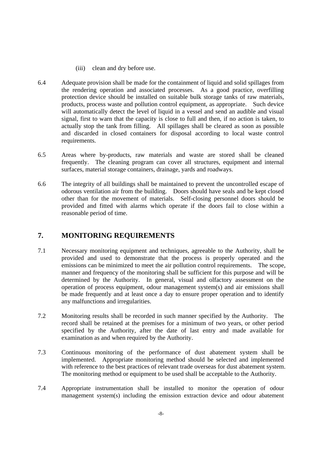- (iii) clean and dry before use.
- 6.4 Adequate provision shall be made for the containment of liquid and solid spillages from the rendering operation and associated processes. As a good practice, overfilling protection device should be installed on suitable bulk storage tanks of raw materials, products, process waste and pollution control equipment, as appropriate. Such device will automatically detect the level of liquid in a vessel and send an audible and visual signal, first to warn that the capacity is close to full and then, if no action is taken, to actually stop the tank from filling. All spillages shall be cleared as soon as possible and discarded in closed containers for disposal according to local waste control requirements.
- 6.5 Areas where by-products, raw materials and waste are stored shall be cleaned frequently. The cleaning program can cover all structures, equipment and internal surfaces, material storage containers, drainage, yards and roadways.
- 6.6 The integrity of all buildings shall be maintained to prevent the uncontrolled escape of odorous ventilation air from the building. Doors should have seals and be kept closed other than for the movement of materials. Self-closing personnel doors should be provided and fitted with alarms which operate if the doors fail to close within a reasonable period of time.

# **7. MONITORING REQUIREMENTS**

- 7.1 Necessary monitoring equipment and techniques, agreeable to the Authority, shall be provided and used to demonstrate that the process is properly operated and the emissions can be minimized to meet the air pollution control requirements. The scope, manner and frequency of the monitoring shall be sufficient for this purpose and will be determined by the Authority. In general, visual and olfactory assessment on the operation of process equipment, odour management system(s) and air emissions shall be made frequently and at least once a day to ensure proper operation and to identify any malfunctions and irregularities.
- 7.2 Monitoring results shall be recorded in such manner specified by the Authority. The record shall be retained at the premises for a minimum of two years, or other period specified by the Authority, after the date of last entry and made available for examination as and when required by the Authority.
- 7.3 Continuous monitoring of the performance of dust abatement system shall be implemented. Appropriate monitoring method should be selected and implemented with reference to the best practices of relevant trade overseas for dust abatement system. The monitoring method or equipment to be used shall be acceptable to the Authority.
- 7.4 Appropriate instrumentation shall be installed to monitor the operation of odour management system(s) including the emission extraction device and odour abatement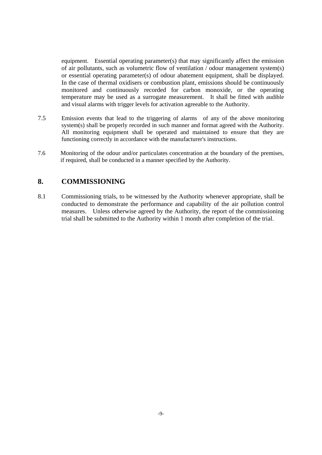equipment. Essential operating parameter(s) that may significantly affect the emission of air pollutants, such as volumetric flow of ventilation / odour management system(s) or essential operating parameter(s) of odour abatement equipment, shall be displayed. In the case of thermal oxidisers or combustion plant, emissions should be continuously monitored and continuously recorded for carbon monoxide, or the operating temperature may be used as a surrogate measurement. It shall be fitted with audible and visual alarms with trigger levels for activation agreeable to the Authority.

- 7.5 Emission events that lead to the triggering of alarms of any of the above monitoring system(s) shall be properly recorded in such manner and format agreed with the Authority. All monitoring equipment shall be operated and maintained to ensure that they are functioning correctly in accordance with the manufacturer's instructions.
- 7.6 Monitoring of the odour and/or particulates concentration at the boundary of the premises, if required, shall be conducted in a manner specified by the Authority.

# **8. COMMISSIONING**

8.1 Commissioning trials, to be witnessed by the Authority whenever appropriate, shall be conducted to demonstrate the performance and capability of the air pollution control measures. Unless otherwise agreed by the Authority, the report of the commissioning trial shall be submitted to the Authority within 1 month after completion of the trial.